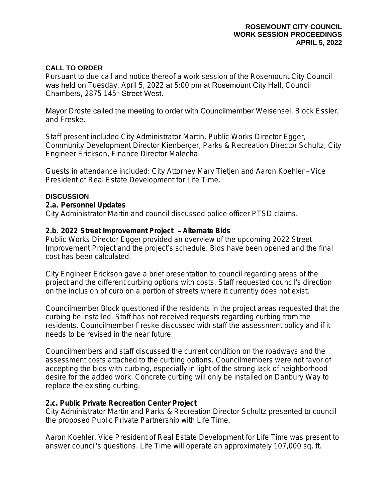#### **CALL TO ORDER**

Pursuant to due call and notice thereof a work session of the Rosemount City Council was held on Tuesday, April 5, 2022 at 5:00 pm at Rosemount City Hall, Council Chambers, 2875 145th Street West.

Mayor Droste called the meeting to order with Councilmember Weisensel, Block Essler, and Freske.

Staff present included City Administrator Martin, Public Works Director Egger, Community Development Director Kienberger, Parks & Recreation Director Schultz, City Engineer Erickson, Finance Director Malecha.

Guests in attendance included: City Attorney Mary Tietjen and Aaron Koehler – Vice President of Real Estate Development for Life Time.

#### **DISCUSSION**

#### **2.a. Personnel Updates**

City Administrator Martin and council discussed police officer PTSD claims.

#### **2.b. 2022 Street Improvement Project** – **Alternate Bids**

Public Works Director Egger provided an overview of the upcoming 2022 Street Improvement Project and the project's schedule. Bids have been opened and the final cost has been calculated.

City Engineer Erickson gave a brief presentation to council regarding areas of the project and the different curbing options with costs. Staff requested council's direction on the inclusion of curb on a portion of streets where it currently does not exist.

Councilmember Block questioned if the residents in the project areas requested that the curbing be installed. Staff has not received requests regarding curbing from the residents. Councilmember Freske discussed with staff the assessment policy and if it needs to be revised in the near future.

Councilmembers and staff discussed the current condition on the roadways and the assessment costs attached to the curbing options. Councilmembers were not favor of accepting the bids with curbing, especially in light of the strong lack of neighborhood desire for the added work. Concrete curbing will only be installed on Danbury Way to replace the existing curbing.

#### **2.c. Public Private Recreation Center Project**

City Administrator Martin and Parks & Recreation Director Schultz presented to council the proposed Public Private Partnership with Life Time.

Aaron Koehler, Vice President of Real Estate Development for Life Time was present to answer council's questions. Life Time will operate an approximately 107,000 sq. ft.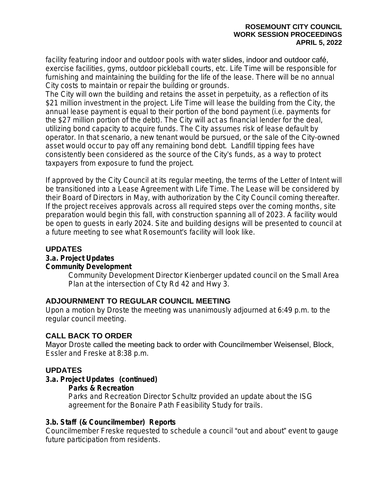facility featuring indoor and outdoor pools with water slides, indoor and outdoor café, exercise facilities, gyms, outdoor pickleball courts, etc. Life Time will be responsible for furnishing and maintaining the building for the life of the lease. There will be no annual City costs to maintain or repair the building or grounds.

The City will own the building and retains the asset in perpetuity, as a reflection of its \$21 million investment in the project. Life Time will lease the building from the City, the annual lease payment is equal to their portion of the bond payment (i.e. payments for the \$27 million portion of the debt). The City will act as financial lender for the deal, utilizing bond capacity to acquire funds. The City assumes risk of lease default by operator. In that scenario, a new tenant would be pursued, or the sale of the City-owned asset would occur to pay off any remaining bond debt. Landfill tipping fees have consistently been considered as the source of the City's funds, as a way to protect taxpayers from exposure to fund the project.

If approved by the City Council at its regular meeting, the terms of the Letter of Intent will be transitioned into a Lease Agreement with Life Time. The Lease will be considered by their Board of Directors in May, with authorization by the City Council coming thereafter. If the project receives approvals across all required steps over the coming months, site preparation would begin this fall, with construction spanning all of 2023. A facility would be open to guests in early 2024. Site and building designs will be presented to council at a future meeting to see what Rosemount's facility will look like.

# **UPDATES**

# **3.a. Project Updates**

### **Community Development**

Community Development Director Kienberger updated council on the Small Area Plan at the intersection of Cty Rd 42 and Hwy 3.

# **ADJOURNMENT TO REGULAR COUNCIL MEETING**

Upon a motion by Droste the meeting was unanimously adjourned at 6:49 p.m. to the regular council meeting.

# **CALL BACK TO ORDER**

Mayor Droste called the meeting back to order with Councilmember Weisensel, Block, Essler and Freske at 8:38 p.m.

# **UPDATES**

# **3.a. Project Updates (continued)**

**Parks & Recreation**

Parks and Recreation Director Schultz provided an update about the ISG agreement for the Bonaire Path Feasibility Study for trails.

# **3.b. Staff (& Councilmember) Reports**

Councilmember Freske requested to schedule a council "out and about" event to gauge future participation from residents.